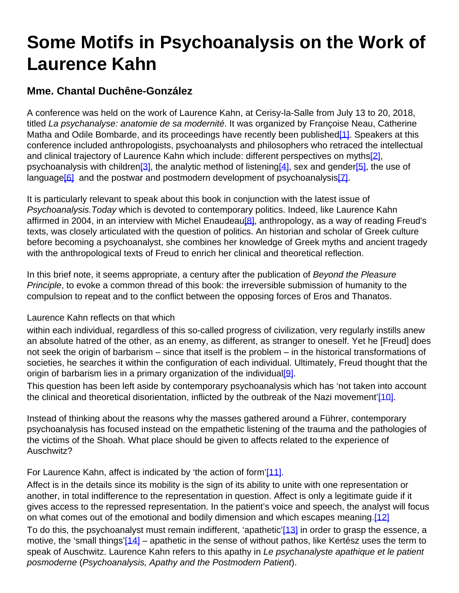## **Some Motifs in Psychoanalysis on the Work of Laurence Kahn**

## **Mme. Chantal Duchêne-González**

A conference was held on the work of Laurence Kahn, at Cerisy-la-Salle from July 13 to 20, 2018, titled La psychanalyse: anatomie de sa modernité. It was organized by Françoise Neau, Catherine Matha and Odile Bombarde, and its proceedings have recently been published<sup>[1]</sup>. Speakers at this conference included anthropologists, psychoanalysts and philosophers who retraced the intellectual and clinical trajectory of Laurence Kahn which include: different perspectives on myths<sup>[2]</sup>, psychoanalysis with children<sup>[3]</sup>, the analytic method of listening<sup>[4]</sup>, sex and gender<sup>[5]</sup>, the use of language<sup>[6]</sup> and the postwar and postmodern development of psychoanalysis<sup>[7]</sup>.

It is particularly relevant to speak about this book in conjunction with the latest issue of Psychoanalysis.Today which is devoted to contemporary politics. Indeed, like Laurence Kahn affirmed in 2004, in an interview with Michel Enaudeau<sup>[8]</sup>, anthropology, as a way of reading Freud's texts, was closely articulated with the question of politics. An historian and scholar of Greek culture before becoming a psychoanalyst, she combines her knowledge of Greek myths and ancient tragedy with the anthropological texts of Freud to enrich her clinical and theoretical reflection.

In this brief note, it seems appropriate, a century after the publication of Beyond the Pleasure Principle, to evoke a common thread of this book: the irreversible submission of humanity to the compulsion to repeat and to the conflict between the opposing forces of Eros and Thanatos.

## Laurence Kahn reflects on that which

within each individual, regardless of this so-called progress of civilization, very regularly instills anew an absolute hatred of the other, as an enemy, as different, as stranger to oneself. Yet he [Freud] does not seek the origin of barbarism – since that itself is the problem – in the historical transformations of societies, he searches it within the configuration of each individual. Ultimately, Freud thought that the origin of barbarism lies in a primary organization of the individual  $[9]$ .

This question has been left aside by contemporary psychoanalysis which has 'not taken into account the clinical and theoretical disorientation, inflicted by the outbreak of the Nazi movement'[10].

Instead of thinking about the reasons why the masses gathered around a Führer, contemporary psychoanalysis has focused instead on the empathetic listening of the trauma and the pathologies of the victims of the Shoah. What place should be given to affects related to the experience of Auschwitz?

## For Laurence Kahn, affect is indicated by 'the action of form'[11].

Affect is in the details since its mobility is the sign of its ability to unite with one representation or another, in total indifference to the representation in question. Affect is only a legitimate guide if it gives access to the repressed representation. In the patient's voice and speech, the analyst will focus on what comes out of the emotional and bodily dimension and which escapes meaning.[12] To do this, the psychoanalyst must remain indifferent, 'apathetic'[13] in order to grasp the essence, a motive, the 'small things'[14] – apathetic in the sense of without pathos, like Kertész uses the term to speak of Auschwitz. Laurence Kahn refers to this apathy in Le psychanalyste apathique et le patient posmoderne (Psychoanalysis, Apathy and the Postmodern Patient).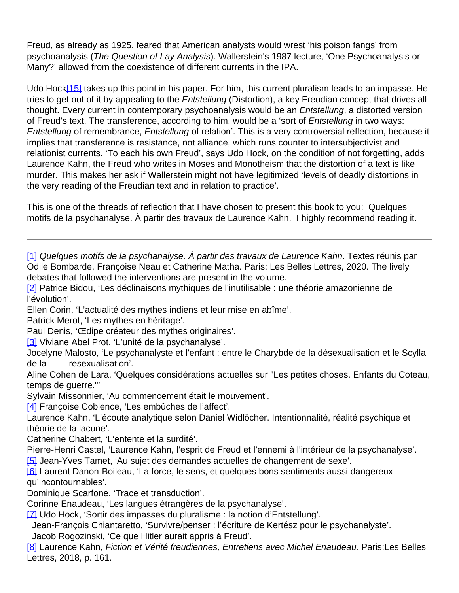Freud, as already as 1925, feared that American analysts would wrest 'his poison fangs' from psychoanalysis (The Question of Lay Analysis). Wallerstein's 1987 lecture, 'One Psychoanalysis or Many?' allowed from the coexistence of different currents in the IPA.

Udo Hock[15] takes up this point in his paper. For him, this current pluralism leads to an impasse. He tries to get out of it by appealing to the *Entstellung* (Distortion), a key Freudian concept that drives all thought. Every current in contemporary psychoanalysis would be an Entstellung, a distorted version of Freud's text. The transference, according to him, would be a 'sort of Entstellung in two ways: Entstellung of remembrance, Entstellung of relation'. This is a very controversial reflection, because it implies that transference is resistance, not alliance, which runs counter to intersubjectivist and relationist currents. 'To each his own Freud', says Udo Hock, on the condition of not forgetting, adds Laurence Kahn, the Freud who writes in Moses and Monotheism that the distortion of a text is like murder. This makes her ask if Wallerstein might not have legitimized 'levels of deadly distortions in the very reading of the Freudian text and in relation to practice'.

This is one of the threads of reflection that I have chosen to present this book to you: Quelques motifs de la psychanalyse. À partir des travaux de Laurence Kahn. I highly recommend reading it.

[1] Quelques motifs de la psychanalyse. À partir des travaux de Laurence Kahn. Textes réunis par Odile Bombarde, Françoise Neau et Catherine Matha. Paris: Les Belles Lettres, 2020. The lively debates that followed the interventions are present in the volume.

[2] Patrice Bidou, 'Les déclinaisons mythiques de l'inutilisable : une théorie amazonienne de l'évolution'.

Ellen Corin, 'L'actualité des mythes indiens et leur mise en abîme'.

Patrick Merot, 'Les mythes en héritage'.

Paul Denis, 'Œdipe créateur des mythes originaires'.

[3] Viviane Abel Prot, 'L'unité de la psychanalyse'.

Jocelyne Malosto, 'Le psychanalyste et l'enfant : entre le Charybde de la désexualisation et le Scylla de la resexualisation'.

Aline Cohen de Lara, 'Quelques considérations actuelles sur "Les petites choses. Enfants du Coteau, temps de guerre."'

- Sylvain Missonnier, 'Au commencement était le mouvement'.
- [4] Françoise Coblence, 'Les embûches de l'affect'.

Laurence Kahn, 'L'écoute analytique selon Daniel Widlöcher. Intentionnalité, réalité psychique et théorie de la lacune'.

Catherine Chabert, 'L'entente et la surdité'.

Pierre-Henri Castel, 'Laurence Kahn, l'esprit de Freud et l'ennemi à l'intérieur de la psychanalyse'.

[5] Jean-Yves Tamet, 'Au sujet des demandes actuelles de changement de sexe'.

[6] Laurent Danon-Boileau, 'La force, le sens, et quelques bons sentiments aussi dangereux qu'incontournables'.

Dominique Scarfone, 'Trace et transduction'.

Corinne Enaudeau, 'Les langues étrangères de la psychanalyse'.

[7] Udo Hock, 'Sortir des impasses du pluralisme : la notion d'Entstellung'.

Jean-François Chiantaretto, 'Survivre/penser : l'écriture de Kertész pour le psychanalyste'.

Jacob Rogozinski, 'Ce que Hitler aurait appris à Freud'.

[8] Laurence Kahn, Fiction et Vérité freudiennes, Entretiens avec Michel Enaudeau. Paris:Les Belles Lettres, 2018, p. 161.